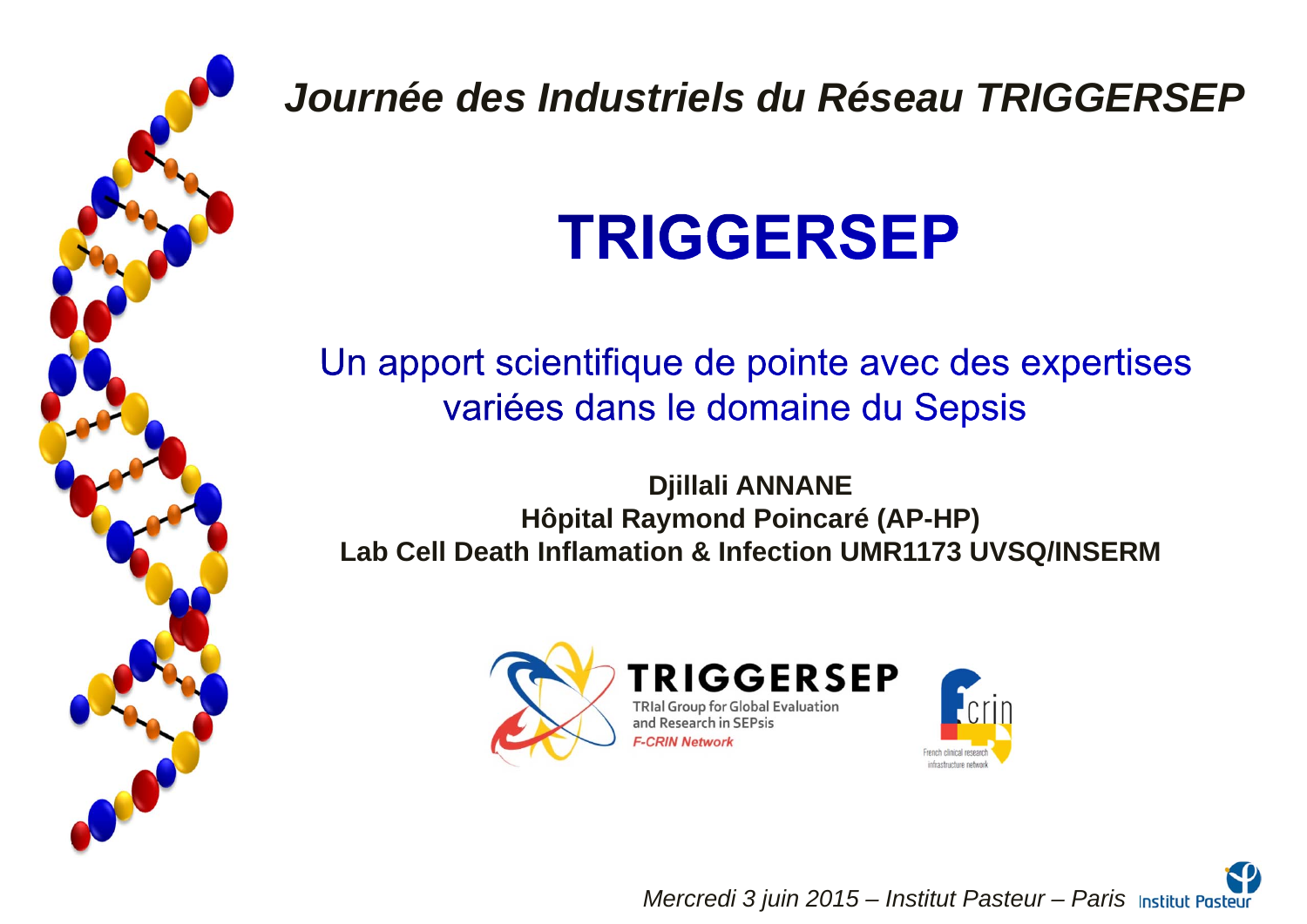

*Journée des Industriels du Réseau TRIGGERSEP*

# **TRIGGERSEP**

Un apport scientifique de pointe avec des expertises variées dans le domaine du Sepsis

**Djillali ANNANE Hôpital Raymond Poincaré (AP-HP) Lab Cell Death Inflamation & Infection UMR1173 UVSQ/INSERM**





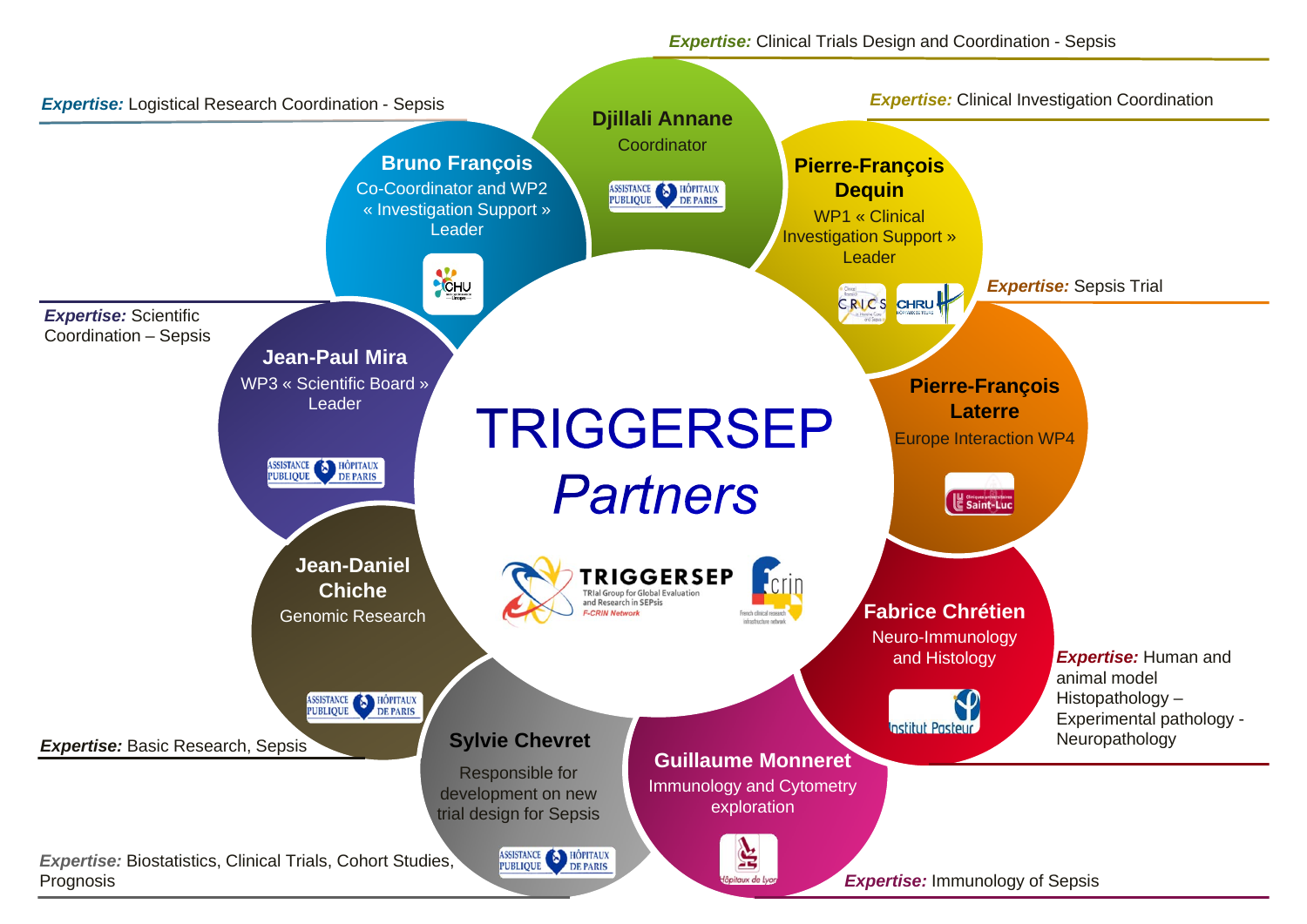*Expertise:* Clinical Trials Design and Coordination - Sepsis

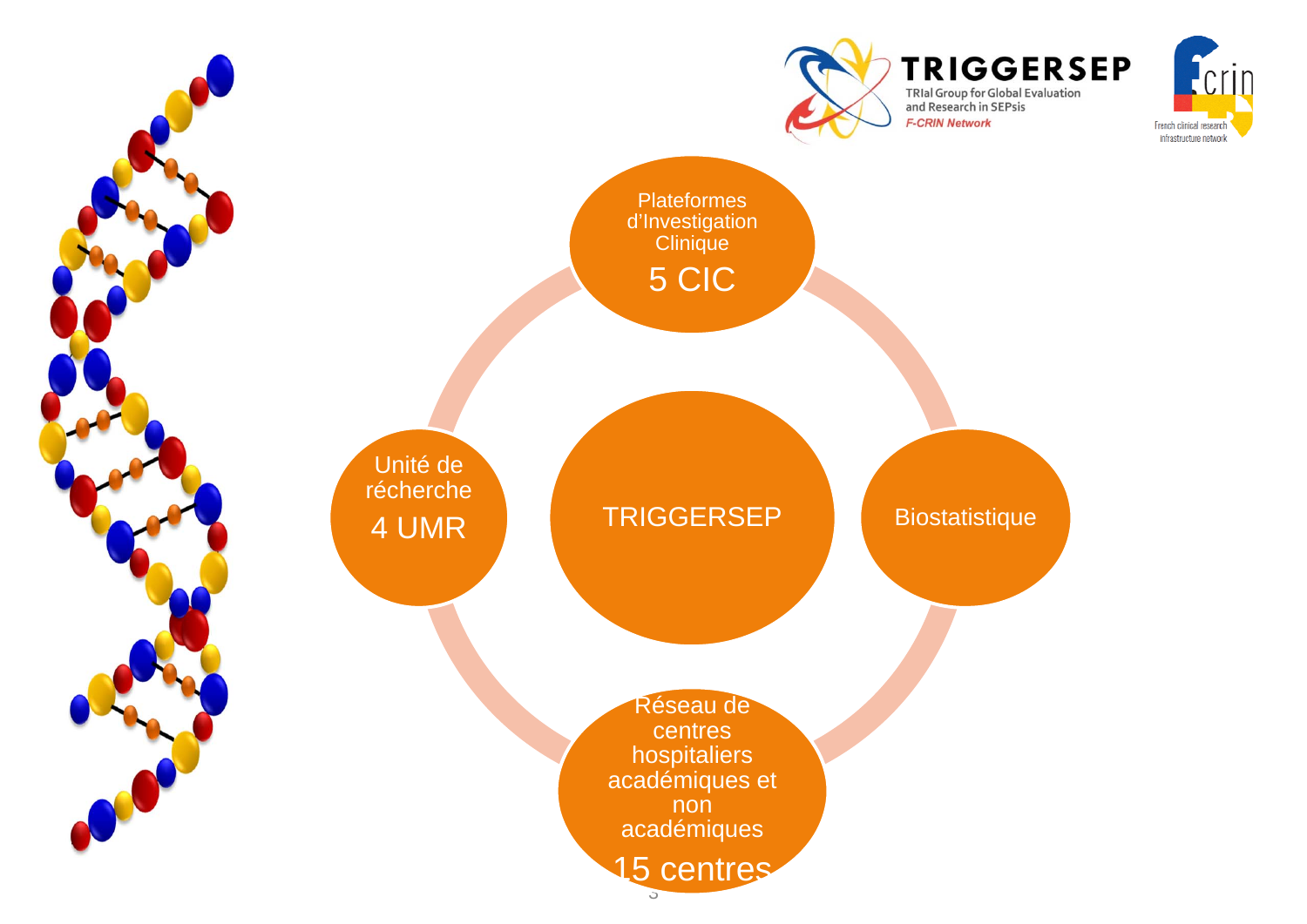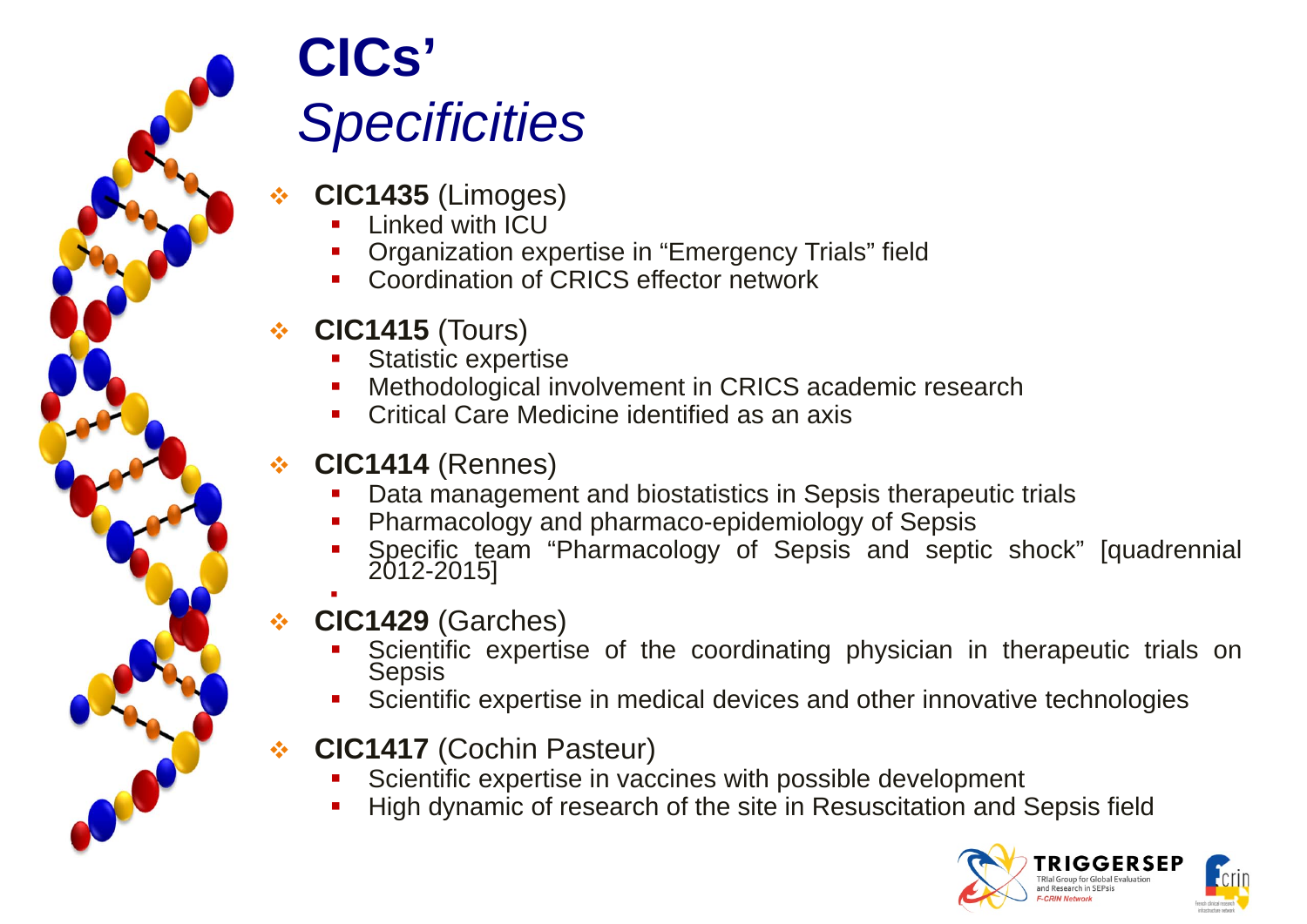

## **CICs'** *Specificities*

- ❖ **CIC1435** (Limoges)
	- П Linked with ICU
	- П Organization expertise in "Emergency Trials" field
	- П Coordination of CRICS effector network

### ❖ **CIC1415** (Tours)

- П Statistic expertise
- П Methodological involvement in CRICS academic research
- П Critical Care Medicine identified as an axis

### $\frac{1}{2}$ **CIC1414** (Rennes)

- П Data management and biostatistics in Sepsis therapeutic trials
- П Pharmacology and pharmaco-epidemiology of Sepsis
- П Specific team "Pharmacology of Sepsis and septic shock" [quadrennial 2012-2015]
- $\frac{1}{2}$ **CIC1429** (Garches)

г

- П Scientific expertise of the coordinating physician in therapeutic trials on Sepsis
- П Scientific expertise in medical devices and other innovative technologies
- $\frac{1}{2}$  **CIC1417** (Cochin Pasteur)
	- П Scientific expertise in vaccines with possible development
	- П High dynamic of research of the site in Resuscitation and Sepsis field

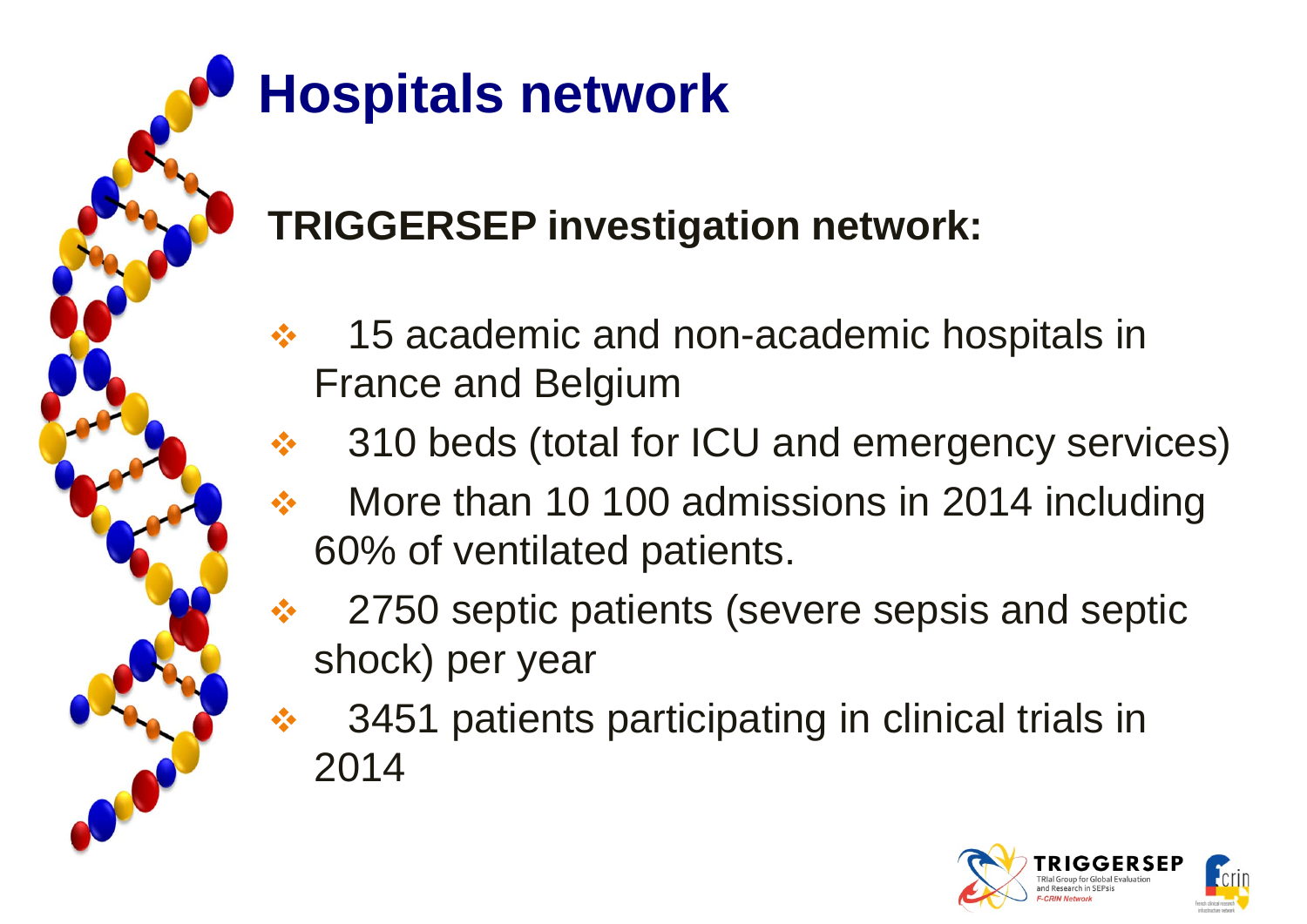# **Hospitals network**

### **TRIGGERSEP investigation network:**

- $\frac{1}{2}$  15 academic and non-academic hospitals in France and Belgium
	- 310 beds (total for ICU and emergency services)
- $\frac{1}{2}$  More than 10 100 admissions in 2014 including 60% of ventilated patients.
- 2750 septic patients (severe sepsis and septic shock) per year
- 3451 patients participating in clinical trials in 2014

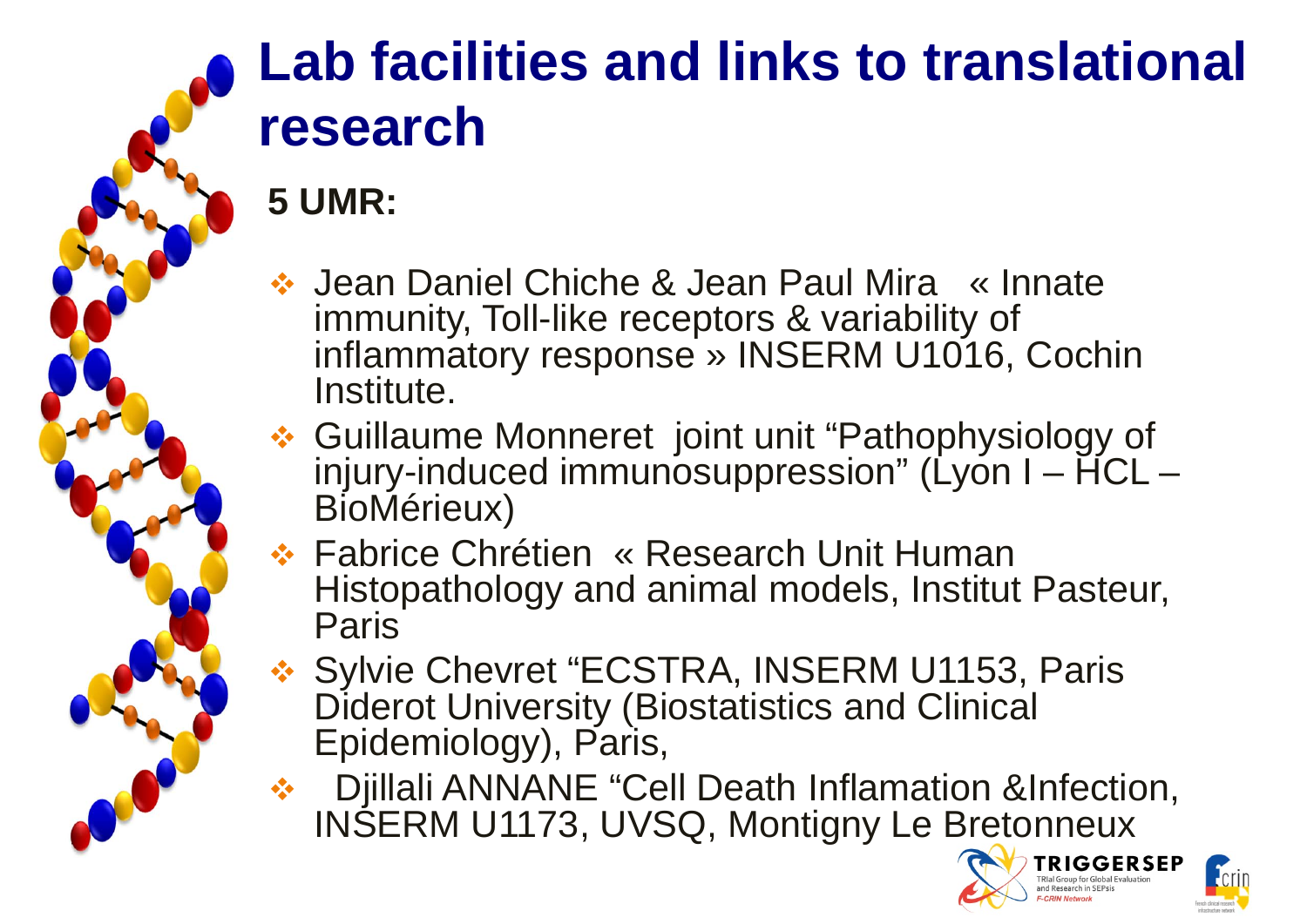

## **Lab facilities and links to translational research**

### **5 UMR:**

- Jean Daniel Chiche & Jean Paul Mira « Innate immunity, Toll-like receptors & variability of inflammatory response » INSERM U1016, Cochin Institute.
- Guillaume Monneret joint unit "Pathophysiology of injury-induced immunosuppression" (Lyon  $I - \text{HCL} -$ BioMérieux)
- **Eabrice Chrétien « Research Unit Human** ↓ Histopathology and animal models, Institut Pasteur, **Paris**
- **❖ Sylvie Chevret "ECSTRA, INSERM U1153, Paris** Diderot University (Biostatistics and Clinical Epidemiology), Paris,
- **EXA:** Djillali ANNANE "Cell Death Inflamation &Infection, INSERM U1173, UVSQ, Montigny Le Bretonneux



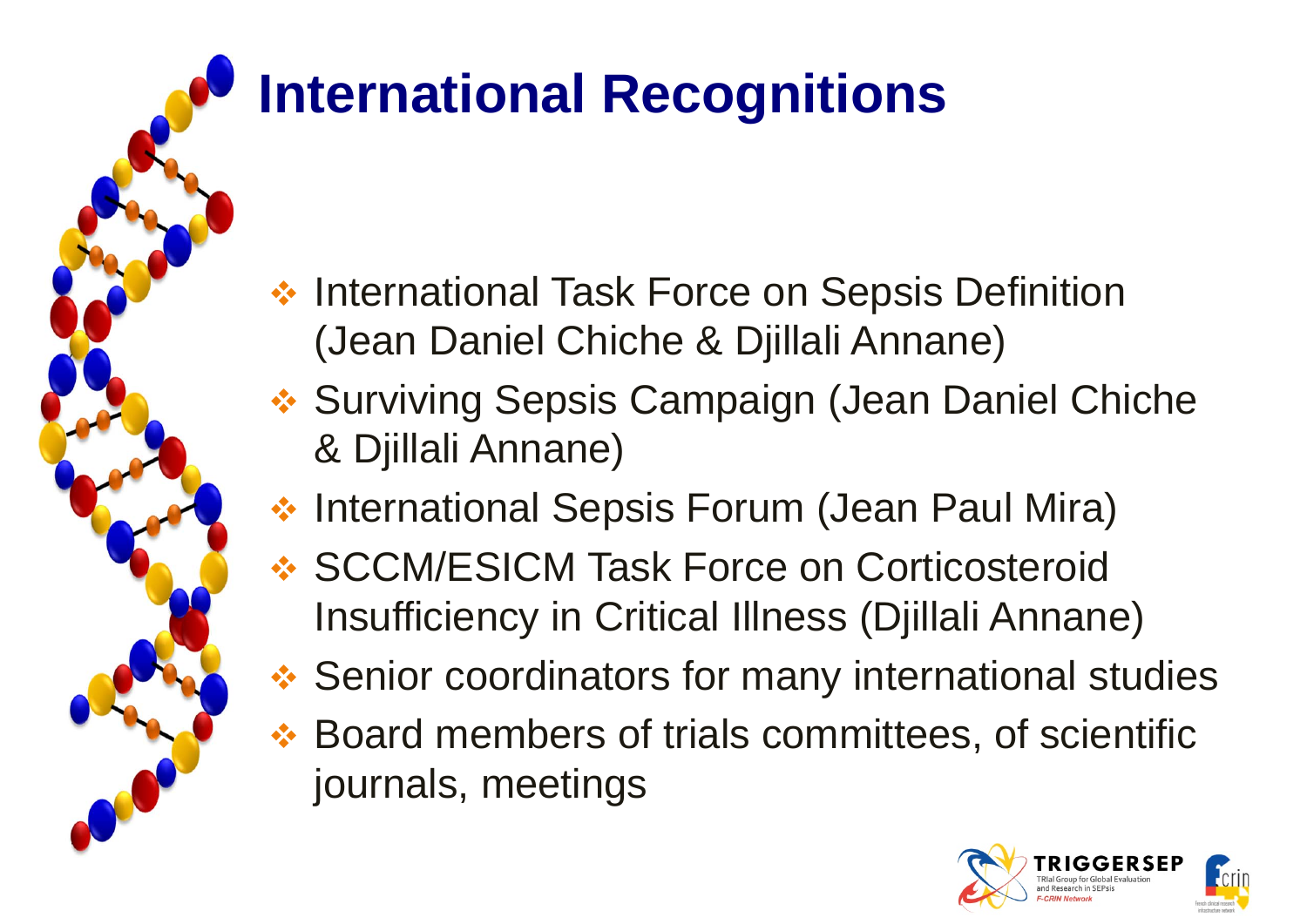# **International Recognitions**

- **❖ International Task Force on Sepsis Definition** (Jean Daniel Chiche & Djillali Annane)
- **❖ Surviving Sepsis Campaign (Jean Daniel Chiche** & Djillali Annane)
- **❖ International Sepsis Forum (Jean Paul Mira)**
- **❖ SCCM/ESICM Task Force on Corticosteroid** Insufficiency in Critical Illness (Djillali Annane)
- **❖ Senior coordinators for many international studies**
- **❖ Board members of trials committees, of scientific** journals, meetings

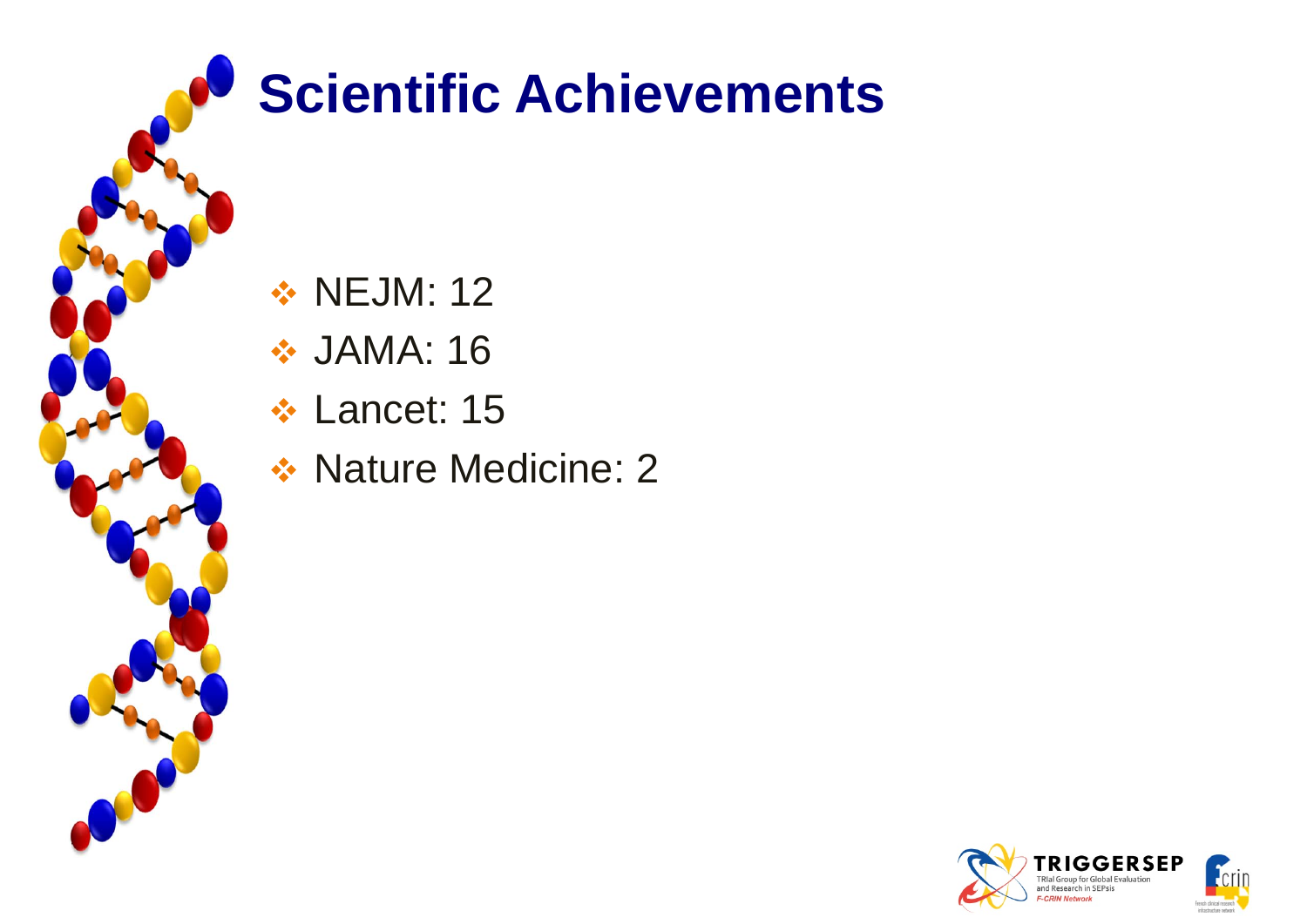

# **Scientific Achievements**

**❖ NEJM: 12** 

- *❖* JAMA: 16
- **❖ Lancet: 15**
- **❖ Nature Medicine: 2**